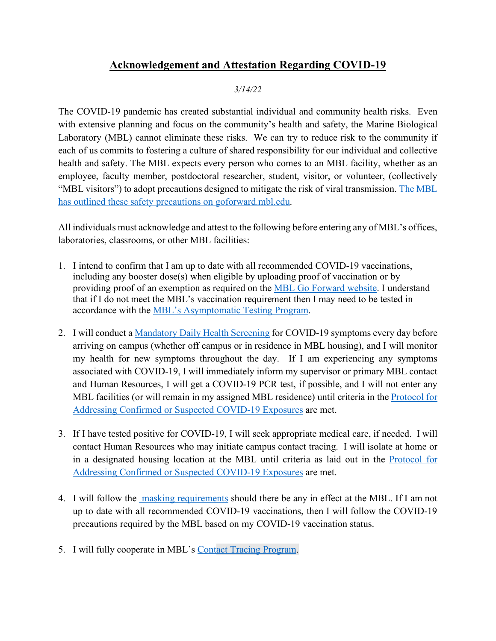## **Acknowledgement and Attestation Regarding COVID-19**

#### *3/14/22*

The COVID-19 pandemic has created substantial individual and community health risks. Even with extensive planning and focus on the community's health and safety, the Marine Biological Laboratory (MBL) cannot eliminate these risks. We can try to reduce risk to the community if each of us commits to fostering a culture of shared responsibility for our individual and collective health and safety. The MBL expects every person who comes to an MBL facility, whether as an employee, faculty member, postdoctoral researcher, student, visitor, or volunteer, (collectively "MBL visitors") to adopt precautions designed to mitigate the risk of viral transmission. [The MBL](https://goforward.mbl.edu/)  [has outlined these safety precautions on](https://goforward.mbl.edu/) goforward.mbl.edu.

All individuals must acknowledge and attest to the following before entering any of MBL's offices, laboratories, classrooms, or other MBL facilities:

- 1. I intend to confirm that I am up to date with all recommended COVID-19 vaccinations, including any booster dose(s) when eligible by uploading proof of vaccination or by providing proof of an exemption as required on the [MBL Go Forward website.](https://goforward.mbl.edu/covid-19-vaccination/) I understand that if I do not meet the MBL's vaccination requirement then I may need to be tested in accordance with the [MBL's Asymptomatic Testing Program.](https://goforward.mbl.edu/testing-program/)
- 2. I will conduct a [Mandatory Daily Health Screening](https://goforward.mbl.edu/health-requirements/daily-health-screening/) for COVID-19 symptoms every day before arriving on campus (whether off campus or in residence in MBL housing), and I will monitor my health for new symptoms throughout the day. If I am experiencing any symptoms associated with COVID-19, I will immediately inform my supervisor or primary MBL contact and Human Resources, I will get a COVID-19 PCR test, if possible, and I will not enter any MBL facilities (or will remain in my assigned MBL residence) until criteria in the Protocol for [Addressing Confirmed or Suspected COVID-19 Exposures](https://goforward.mbl.edu/guide-for-addressing-confirmed-or-suspected-covid-19-exposures/) are met.
- 3. If I have tested positive for COVID-19, I will seek appropriate medical care, if needed. I will contact Human Resources who may initiate campus contact tracing. I will isolate at home or in a designated housing location at the MBL until criteria as laid out in the [Protocol for](https://goforward.mbl.edu/guide-for-addressing-confirmed-or-suspected-covid-19-exposures/)  [Addressing Confirmed or Suspected COVID-19 Exposures](https://goforward.mbl.edu/guide-for-addressing-confirmed-or-suspected-covid-19-exposures/) are met.
- 4. I will follow the [masking requirements](https://goforward.mbl.edu/health-requirements/guidance-for-using-masks-in-mbl-work-areas/) should there be any in effect at the MBL. If I am not up to date with all recommended COVID-19 vaccinations, then I will follow the COVID-19 precautions required by the MBL based on my COVID-19 vaccination status.
- 5. I will fully cooperate in MBL's [Contact Tracing Program.](https://goforward.mbl.edu/contact-tracing/)